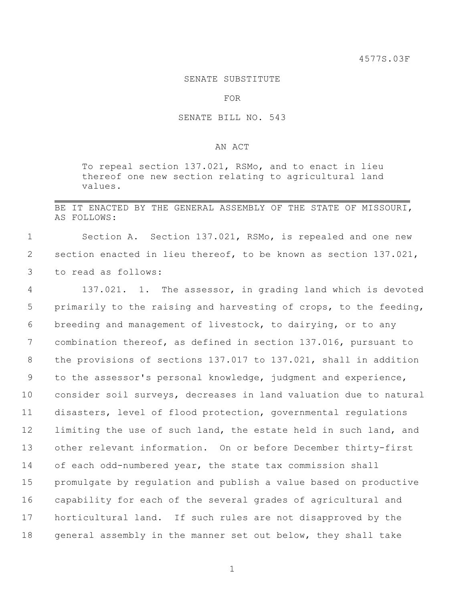## SENATE SUBSTITUTE

FOR

## SENATE BILL NO. 543

## AN ACT

To repeal section 137.021, RSMo, and to enact in lieu thereof one new section relating to agricultural land values.

## BE IT ENACTED BY THE GENERAL ASSEMBLY OF THE STATE OF MISSOURI, AS FOLLOWS:

1 Section A. Section 137.021, RSMo, is repealed and one new 2 section enacted in lieu thereof, to be known as section 137.021, 3 to read as follows:

 137.021. 1. The assessor, in grading land which is devoted primarily to the raising and harvesting of crops, to the feeding, breeding and management of livestock, to dairying, or to any combination thereof, as defined in section 137.016, pursuant to the provisions of sections 137.017 to 137.021, shall in addition to the assessor's personal knowledge, judgment and experience, consider soil surveys, decreases in land valuation due to natural disasters, level of flood protection, governmental regulations 12 limiting the use of such land, the estate held in such land, and other relevant information. On or before December thirty-first of each odd-numbered year, the state tax commission shall promulgate by regulation and publish a value based on productive capability for each of the several grades of agricultural and horticultural land. If such rules are not disapproved by the 18 general assembly in the manner set out below, they shall take

1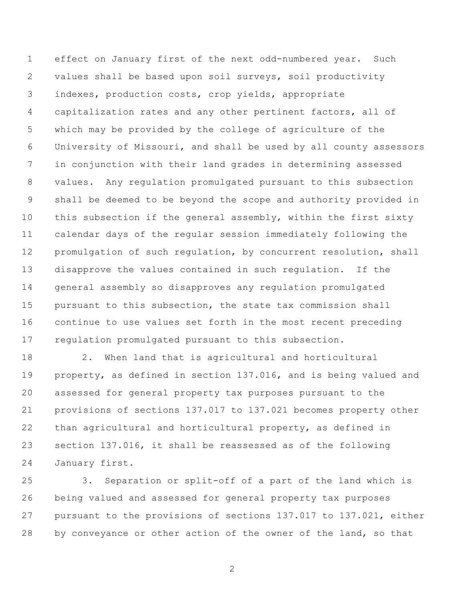effect on January first of the next odd-numbered year. Such values shall be based upon soil surveys, soil productivity indexes, production costs, crop yields, appropriate capitalization rates and any other pertinent factors, all of which may be provided by the college of agriculture of the University of Missouri, and shall be used by all county assessors in conjunction with their land grades in determining assessed values. Any regulation promulgated pursuant to this subsection shall be deemed to be beyond the scope and authority provided in this subsection if the general assembly, within the first sixty calendar days of the regular session immediately following the promulgation of such regulation, by concurrent resolution, shall disapprove the values contained in such regulation. If the general assembly so disapproves any regulation promulgated pursuant to this subsection, the state tax commission shall continue to use values set forth in the most recent preceding regulation promulgated pursuant to this subsection.

 2. When land that is agricultural and horticultural property, as defined in section 137.016, and is being valued and assessed for general property tax purposes pursuant to the provisions of sections 137.017 to 137.021 becomes property other than agricultural and horticultural property, as defined in section 137.016, it shall be reassessed as of the following January first.

 3. Separation or split-off of a part of the land which is being valued and assessed for general property tax purposes pursuant to the provisions of sections 137.017 to 137.021, either 28 by conveyance or other action of the owner of the land, so that